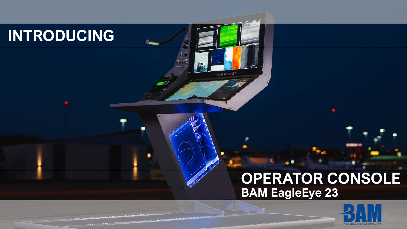# INTRODUCING

# OPERATOR CONSOLE **BAM EagleEye 23**

 $00000000$ 

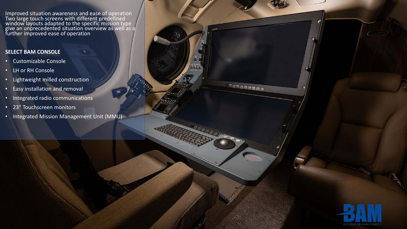Improved situation awareness and ease of operation Two large touch screens with different predefined window layouts adapted to the specific mission type give an unprecedented situation overview as well as a further improved ease of operation

#### **SELECT BAM CONSOLE**

- Customizable Console
- LH or RH Console
- Lightweight milled construction
- Easy installation and removal
- Integrated radio communications
- 23" Touchscreen monitors
- Integrated Mission Management Unit (MMU)



aaaaaaaa